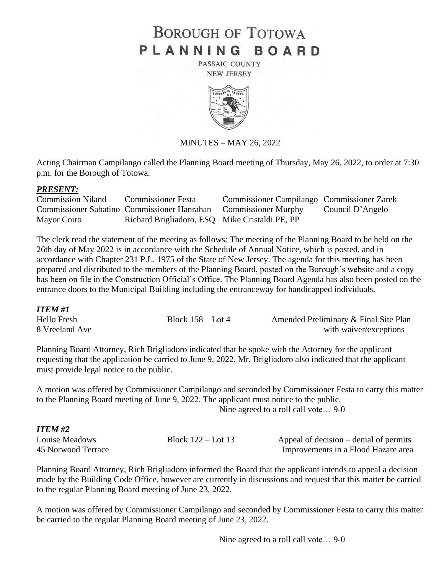## **BOROUGH OF TOTOWA** PLANNING BOARD

PASSAIC COUNTY **NEW JERSEY** 



MINUTES – MAY 26, 2022

Acting Chairman Campilango called the Planning Board meeting of Thursday, May 26, 2022, to order at 7:30 p.m. for the Borough of Totowa.

## *PRESENT:*

| <b>Commission Niland</b> | <b>Commissioner Festa</b>                                       | Commissioner Campilango Commissioner Zarek |                  |
|--------------------------|-----------------------------------------------------------------|--------------------------------------------|------------------|
|                          | Commissioner Sabatino Commissioner Hanrahan Commissioner Murphy |                                            | Council D'Angelo |
| Mayor Coiro              | Richard Brigliadoro, ESQ Mike Cristaldi PE, PP                  |                                            |                  |

The clerk read the statement of the meeting as follows: The meeting of the Planning Board to be held on the 26th day of May 2022 is in accordance with the Schedule of Annual Notice, which is posted, and in accordance with Chapter 231 P.L. 1975 of the State of New Jersey. The agenda for this meeting has been prepared and distributed to the members of the Planning Board, posted on the Borough's website and a copy has been on file in the Construction Official's Office. The Planning Board Agenda has also been posted on the entrance doors to the Municipal Building including the entranceway for handicapped individuals.

| ITEM #1            |                     |                                       |
|--------------------|---------------------|---------------------------------------|
| <b>Hello Fresh</b> | Block $158 -$ Lot 4 | Amended Preliminary & Final Site Plan |
| 8 Vreeland Ave     |                     | with waiver/exceptions                |

Planning Board Attorney, Rich Brigliadoro indicated that he spoke with the Attorney for the applicant requesting that the application be carried to June 9, 2022. Mr. Brigliadoro also indicated that the applicant must provide legal notice to the public.

A motion was offered by Commissioner Campilango and seconded by Commissioner Festa to carry this matter to the Planning Board meeting of June 9, 2022. The applicant must notice to the public. Nine agreed to a roll call vote… 9-0

## *ITEM #2*

Louise Meadows Block 122 – Lot 13 Appeal of decision – denial of permits 45 Norwood TerraceImprovements in a Flood Hazare area

Planning Board Attorney, Rich Brigliadoro informed the Board that the applicant intends to appeal a decision made by the Building Code Office, however are currently in discussions and request that this matter be carried to the regular Planning Board meeting of June 23, 2022.

A motion was offered by Commissioner Campilango and seconded by Commissioner Festa to carry this matter be carried to the regular Planning Board meeting of June 23, 2022.

Nine agreed to a roll call vote… 9-0